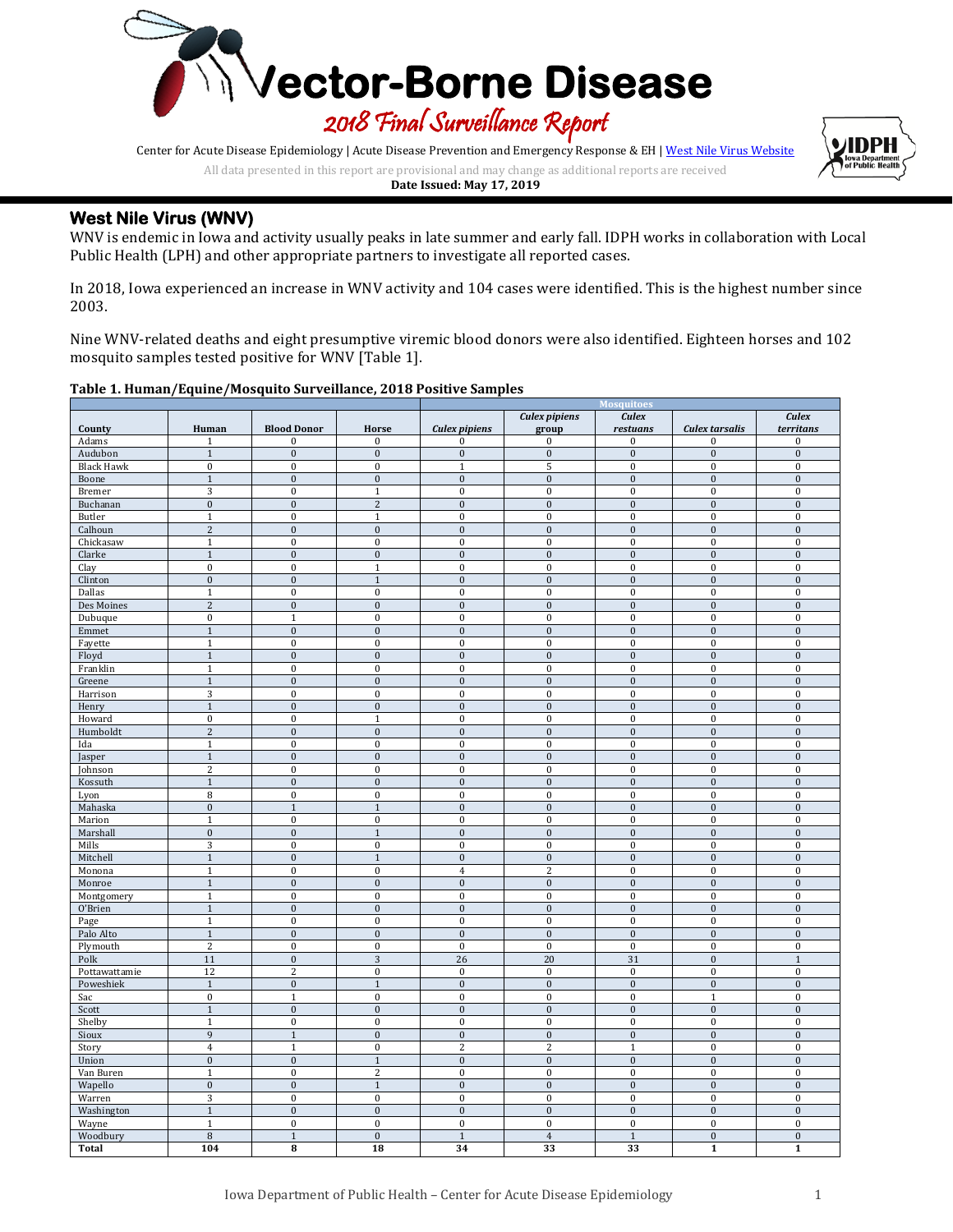

Center for Acute Disease Epidemiology | Acute Disease Prevention and Emergency Response & EH [| West Nile Virus Website](http://idph.iowa.gov/cade/disease-information/west-nile-virus)

All data presented in this report are provisional and may change as additional reports are received



## **West Nile Virus (WNV)**

WNV is endemic in Iowa and activity usually peaks in late summer and early fall. IDPH works in collaboration with Local Public Health (LPH) and other appropriate partners to investigate all reported cases.

In 2018, Iowa experienced an increase in WNV activity and 104 cases were identified. This is the highest number since 2003.

Nine WNV-related deaths and eight presumptive viremic blood donors were also identified. Eighteen horses and 102 mosquito samples tested positive for WNV [Table 1].

### **Table 1. Human/Equine/Mosquito Surveillance, 2018 Positive Samples**

|                      |                              |                                    |                              | <b>Mosquitoes</b>                      |                                      |                              |                                    |                                      |
|----------------------|------------------------------|------------------------------------|------------------------------|----------------------------------------|--------------------------------------|------------------------------|------------------------------------|--------------------------------------|
|                      |                              |                                    |                              |                                        | <b>Culex pipiens</b>                 | <b>Culex</b>                 |                                    | <b>Culex</b>                         |
| County<br>Adams      | Human<br>$\mathbf{1}$        | <b>Blood Donor</b><br>$\mathbf{0}$ | Horse<br>$\bf{0}$            | <b>Culex pipiens</b><br>$\overline{0}$ | group<br>$\boldsymbol{0}$            | restuans<br>$\bf{0}$         | Culex tarsalis<br>$\boldsymbol{0}$ | territans<br>$\pmb{0}$               |
| Audubon              | $\mathbf{1}$                 | $\boldsymbol{0}$                   | $\mathbf{0}$                 | $\bf{0}$                               | $\bf{0}$                             | $\boldsymbol{0}$             | $\boldsymbol{0}$                   | $\bf{0}$                             |
| <b>Black Hawk</b>    | $\bf{0}$                     | $\pmb{0}$                          | $\bf{0}$                     | $\mathbf{1}$                           | 5                                    | $\bf{0}$                     | $\boldsymbol{0}$                   | $\boldsymbol{0}$                     |
| Boone                | $\mathbf{1}$                 | $\boldsymbol{0}$                   | $\boldsymbol{0}$             | $\boldsymbol{0}$                       | $\bf{0}$                             | $\bf{0}$                     | $\bf{0}$                           | $\boldsymbol{0}$                     |
| Bremer               | 3                            | $\pmb{0}$                          | $\mathbf{1}$                 | $\bf{0}$                               | $\bf{0}$                             | $\bf{0}$                     | $\boldsymbol{0}$                   | $\boldsymbol{0}$                     |
| Buchanan             | $\bf{0}$                     | $\boldsymbol{0}$                   | $\overline{2}$               | $\bf{0}$                               | $\bf{0}$                             | $\boldsymbol{0}$             | $\bf{0}$                           | $\bf{0}$                             |
| Butler               | $1\,$                        | $\pmb{0}$                          | $1\,$                        | $\bf{0}$                               | $\bf{0}$                             | $\bf{0}$                     | $\boldsymbol{0}$                   | $\boldsymbol{0}$                     |
| Calhoun              | $\overline{c}$               | $\boldsymbol{0}$                   | $\mathbf{0}$                 | $\bf{0}$                               | $\boldsymbol{0}$                     | $\boldsymbol{0}$             | $\mathbf{0}$                       | $\bf{0}$                             |
| Chickasaw            | $\mathbf{1}$                 | $\bf{0}$                           | $\bf{0}$                     | $\mathbf 0$                            | $\boldsymbol{0}$                     | $\boldsymbol{0}$             | $\boldsymbol{0}$                   | $\boldsymbol{0}$                     |
| Clarke               | $\mathbf{1}$                 | $\boldsymbol{0}$                   | $\boldsymbol{0}$             | $\bf{0}$                               | $\bf{0}$                             | $\boldsymbol{0}$             | $\bf{0}$                           | $\bf{0}$                             |
| Clay                 | $\bf{0}$                     | $\pmb{0}$                          | $\mathbf{1}$                 | $\bf{0}$                               | $\bf{0}$                             | $\bf{0}$                     | $\boldsymbol{0}$                   | $\boldsymbol{0}$                     |
| Clinton              | $\mathbf{0}$                 | $\boldsymbol{0}$                   | $\mathbf{1}$                 | $\bf{0}$                               | $\boldsymbol{0}$                     | $\boldsymbol{0}$             | $\boldsymbol{0}$                   | $\mathbf{0}$                         |
| Dallas               | $1\,$                        | $\pmb{0}$                          | $\bf{0}$                     | $\bf{0}$                               | $\boldsymbol{0}$                     | $\pmb{0}$                    | $\boldsymbol{0}$                   | $\bf{0}$                             |
| Des Moines           | $\overline{c}$               | $\boldsymbol{0}$                   | $\bf{0}$                     | $\bf{0}$                               | $\boldsymbol{0}$                     | $\mathbf{0}$                 | $\boldsymbol{0}$                   | $\bf{0}$                             |
| Dubuque              | $\bf{0}$                     | $\mathbf{1}$                       | $\bf{0}$                     | $\mathbf 0$                            | $\mathbf 0$                          | $\boldsymbol{0}$             | $\boldsymbol{0}$                   | $\boldsymbol{0}$                     |
| Emmet                | $\mathbf{1}$                 | $\boldsymbol{0}$<br>$\pmb{0}$      | $\boldsymbol{0}$<br>$\bf{0}$ | $\bf{0}$<br>$\bf{0}$                   | $\boldsymbol{0}$<br>$\boldsymbol{0}$ | $\bf{0}$<br>$\pmb{0}$        | $\bf{0}$<br>$\boldsymbol{0}$       | $\boldsymbol{0}$<br>$\bf{0}$         |
| Fayette<br>Floyd     | $1\,$<br>$\overline{1}$      | $\bf{0}$                           | $\mathbf 0$                  | $\mathbf{0}$                           | $\bf{0}$                             | $\bf{0}$                     | $\boldsymbol{0}$                   | $\mathbf{0}$                         |
| Franklin             | $1\,$                        | $\pmb{0}$                          | $\bf{0}$                     | $\bf{0}$                               | $\bf{0}$                             | $\bf{0}$                     | $\boldsymbol{0}$                   | $\boldsymbol{0}$                     |
| Greene               | $\mathbf 1$                  | $\boldsymbol{0}$                   | $\boldsymbol{0}$             | $\boldsymbol{0}$                       | $\bf{0}$                             | $\bf{0}$                     | $\bf{0}$                           | $\bf{0}$                             |
| Harrison             | 3                            | $\pmb{0}$                          | $\bf{0}$                     | $\mathbf 0$                            | $\boldsymbol{0}$                     | $\boldsymbol{0}$             | $\boldsymbol{0}$                   | $\pmb{0}$                            |
| Henry                | $\mathbf{1}$                 | $\boldsymbol{0}$                   | $\boldsymbol{0}$             | $\bf{0}$                               | $\bf{0}$                             | $\boldsymbol{0}$             | $\bf{0}$                           | $\bf{0}$                             |
| Howard               | $\bf{0}$                     | $\pmb{0}$                          | $\mathbf{1}$                 | $\bf{0}$                               | $\boldsymbol{0}$                     | $\bf{0}$                     | $\boldsymbol{0}$                   | $\boldsymbol{0}$                     |
| Humboldt             | $\overline{c}$               | $\boldsymbol{0}$                   | $\mathbf{0}$                 | $\boldsymbol{0}$                       | $\bf{0}$                             | $\bf{0}$                     | $\bf{0}$                           | $\boldsymbol{0}$                     |
| Ida                  | $1\,$                        | $\pmb{0}$                          | $\bf{0}$                     | $\bf{0}$                               | $\bf{0}$                             | $\pmb{0}$                    | $\boldsymbol{0}$                   | $\bf{0}$                             |
| Jasper               | $\overline{1}$               | $\boldsymbol{0}$                   | $\boldsymbol{0}$             | $\bf{0}$                               | $\boldsymbol{0}$                     | $\mathbf{0}$                 | $\bf{0}$                           | $\bf{0}$                             |
| Johnson              | $\overline{c}$               | $\pmb{0}$                          | $\bf{0}$                     | $\bf{0}$                               | $\bf{0}$                             | $\bf{0}$                     | $\boldsymbol{0}$                   | $\bf{0}$                             |
| Kossuth              | $\mathbf{1}$                 | $\boldsymbol{0}$                   | $\mathbf{0}$                 | $\bf{0}$                               | $\boldsymbol{0}$                     | $\boldsymbol{0}$             | $\mathbf{0}$                       | $\bf{0}$                             |
| Lyon                 | 8                            | $\pmb{0}$                          | $\boldsymbol{0}$             | $\mathbf 0$                            | $\boldsymbol{0}$                     | $\boldsymbol{0}$             | $\boldsymbol{0}$                   | $\boldsymbol{0}$                     |
| Mahaska              | $\bf{0}$                     | $\mathbf{1}$                       | $\mathbf{1}$                 | $\bf{0}$                               | $\bf{0}$                             | $\boldsymbol{0}$             | $\bf{0}$                           | $\bf{0}$                             |
| Marion               | $1\,$                        | $\pmb{0}$                          | $\bf{0}$                     | $\bf{0}$                               | $\bf{0}$                             | $\bf{0}$                     | $\boldsymbol{0}$                   | $\boldsymbol{0}$                     |
| Marshall             | $\mathbf{0}$                 | $\bf{0}$                           | $\mathbf{1}$                 | $\bf{0}$                               | $\boldsymbol{0}$                     | $\boldsymbol{0}$             | $\boldsymbol{0}$                   | $\mathbf{0}$                         |
| Mills                | 3                            | $\pmb{0}$                          | $\bf{0}$                     | $\bf{0}$                               | $\boldsymbol{0}$                     | $\pmb{0}$                    | $\boldsymbol{0}$                   | $\bf{0}$                             |
| Mitchell             | $\mathbf{1}$                 | $\boldsymbol{0}$                   | $\mathbf{1}$                 | $\bf{0}$                               | $\bf{0}$                             | $\boldsymbol{0}$             | $\boldsymbol{0}$                   | $\bf{0}$                             |
| Monona               | $\mathbf{1}$<br>$\mathbf{1}$ | $\pmb{0}$<br>$\boldsymbol{0}$      | $\bf{0}$<br>$\boldsymbol{0}$ | $\overline{\mathbf{4}}$<br>$\bf{0}$    | $\overline{c}$<br>$\boldsymbol{0}$   | $\boldsymbol{0}$<br>$\bf{0}$ | $\boldsymbol{0}$<br>$\bf{0}$       | $\boldsymbol{0}$<br>$\bf{0}$         |
| Monroe<br>Montgomery | $1\,$                        | $\pmb{0}$                          | $\bf{0}$                     | $\bf{0}$                               | $\boldsymbol{0}$                     | $\pmb{0}$                    | $\boldsymbol{0}$                   | $\bf{0}$                             |
| O'Brien              | $\overline{1}$               | $\boldsymbol{0}$                   | $\bf{0}$                     | $\mathbf{0}$                           | $\bf{0}$                             | $\mathbf{0}$                 | $\boldsymbol{0}$                   | $\mathbf{0}$                         |
| Page                 | $1\,$                        | $\bf{0}$                           | $\bf{0}$                     | $\bf{0}$                               | $\bf{0}$                             | $\bf{0}$                     | $\boldsymbol{0}$                   | $\boldsymbol{0}$                     |
| Palo Alto            | $\mathbf 1$                  | $\boldsymbol{0}$                   | $\boldsymbol{0}$             | $\bf{0}$                               | $\boldsymbol{0}$                     | $\boldsymbol{0}$             | $\boldsymbol{0}$                   | $\bf{0}$                             |
| Plymouth             | $\sqrt{2}$                   | $\boldsymbol{0}$                   | $\mathbf{0}$                 | $\mathbf{0}$                           | $\boldsymbol{0}$                     | $\boldsymbol{0}$             | $\boldsymbol{0}$                   | $\pmb{0}$                            |
| Polk                 | 11                           | $\boldsymbol{0}$                   | 3                            | 26                                     | 20                                   | 31                           | $\boldsymbol{0}$                   | $\mathbf{1}$                         |
| Pottawattamie        | 12                           | $\overline{2}$                     | $\bf{0}$                     | $\bf{0}$                               | $\boldsymbol{0}$                     | $\bf{0}$                     | $\bf{0}$                           | $\bf{0}$                             |
| Poweshiek            | $\mathbf{1}$                 | $\boldsymbol{0}$                   | $\mathbf{1}$                 | $\boldsymbol{0}$                       | $\bf{0}$                             | $\bf{0}$                     | $\bf{0}$                           | $\boldsymbol{0}$                     |
| Sac                  | $\bf{0}$                     | $\mathbf{1}$                       | $\bf{0}$                     | $\bf{0}$                               | $\boldsymbol{0}$                     | $\pmb{0}$                    | $\mathbf{1}$                       | $\boldsymbol{0}$                     |
| Scott                | $\mathbf{1}$                 | $\bf{0}$                           | $\bf{0}$                     | $\bf{0}$                               | $\bf{0}$                             | $\mathbf{0}$                 | $\boldsymbol{0}$                   | $\mathbf{0}$                         |
| Shelby               | $1\,$                        | $\pmb{0}$                          | $\bf{0}$                     | $\bf{0}$                               | $\bf{0}$                             | $\bf{0}$                     | $\boldsymbol{0}$                   | $\bf{0}$                             |
| Sioux                | 9                            | $\mathbf{1}$                       | $\boldsymbol{0}$             | $\bf{0}$                               | $\boldsymbol{0}$                     | $\boldsymbol{0}$             | $\bf{0}$                           | $\bf{0}$                             |
| Story                | $\overline{4}$               | $\mathbf{1}$                       | $\overline{0}$               | $\overline{2}$                         | $\overline{\mathbf{2}}$              | $\mathbf{1}$                 | $\bf{0}$                           | $\boldsymbol{0}$                     |
| Union                | $\bf{0}$                     | $\boldsymbol{0}$                   | $\,1\,$                      | $\bf{0}$                               | $\boldsymbol{0}$                     | $\boldsymbol{0}$             | $\bf{0}$                           | $\bf{0}$                             |
| Van Buren            | $1\,$                        | $\bf{0}$                           | $\sqrt{2}$                   | $\bf{0}$                               | $\bf{0}$                             | $\pmb{0}$                    | $\bf{0}$                           | $\bf{0}$                             |
| Wapello              | $\overline{0}$               | $\overline{0}$                     | $\mathbf 1$                  | $\overline{0}$                         | $\overline{0}$                       | $\overline{0}$               | $\overline{0}$                     | $\overline{0}$                       |
| Warren               | 3                            | $\pmb{0}$                          | $\bf{0}$                     | $\bf{0}$                               | $\boldsymbol{0}$                     | $\pmb{0}$                    | $\boldsymbol{0}$                   | $\bf{0}$                             |
| Washington           | $\mathbf{1}$                 | $\boldsymbol{0}$                   | $\bf{0}$                     | $\bf{0}$                               | $\boldsymbol{0}$                     | $\boldsymbol{0}$             | $\boldsymbol{0}$                   | $\bf{0}$                             |
| Wayne                | $\mathbf{1}$<br>8            | $\pmb{0}$<br>$\mathbf{1}$          | $\bf{0}$<br>$\boldsymbol{0}$ | $\bf{0}$<br>$\,1\,$                    | $\bf{0}$<br>$\overline{4}$           | $\bf{0}$<br>$\mathbf{1}$     | $\boldsymbol{0}$<br>$\bf{0}$       | $\boldsymbol{0}$<br>$\boldsymbol{0}$ |
| Woodbury             | 104                          | 8                                  | 18                           | 34                                     | 33                                   | 33                           | $\mathbf{1}$                       | $\mathbf 1$                          |
| <b>Total</b>         |                              |                                    |                              |                                        |                                      |                              |                                    |                                      |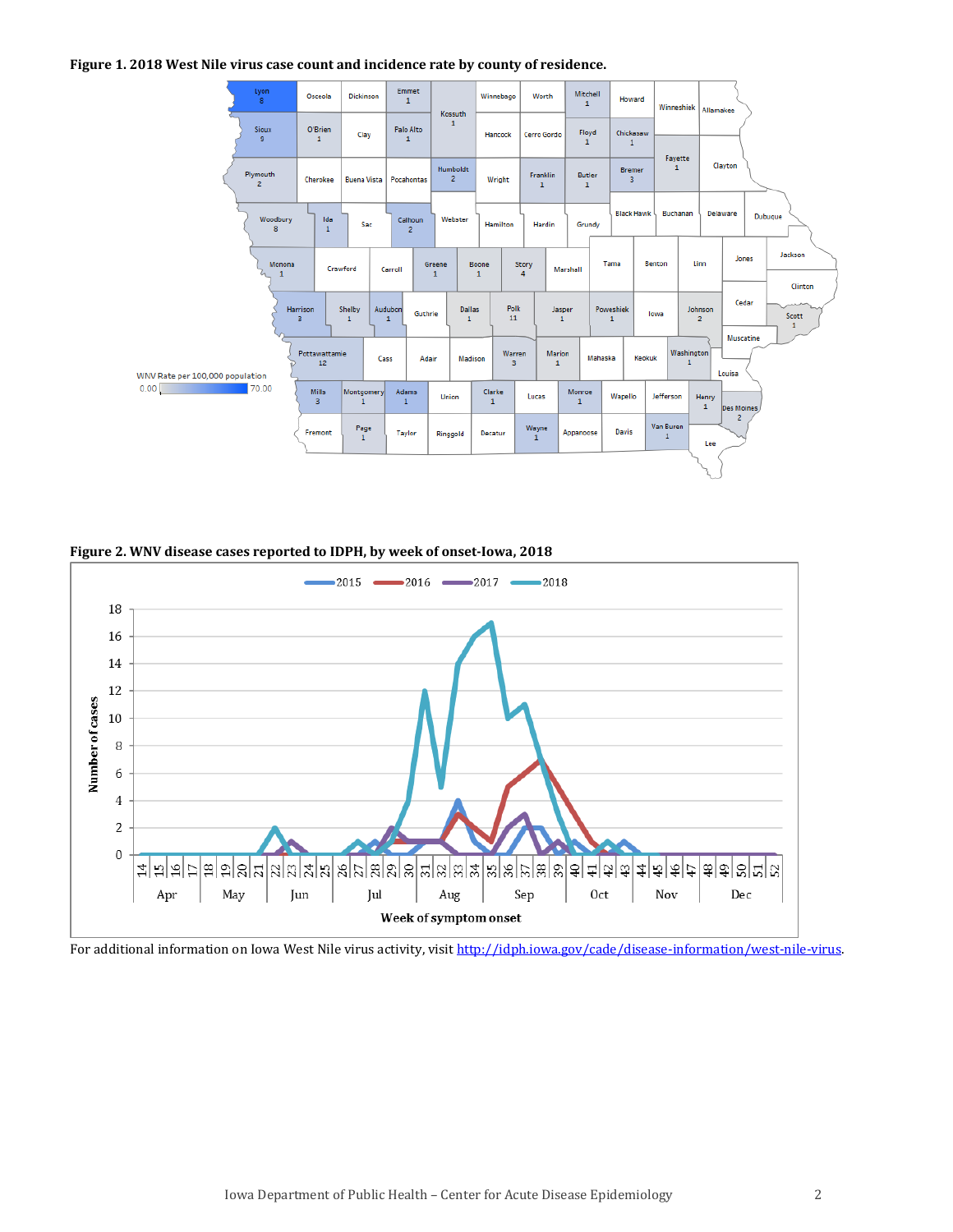#### **Figure 1. 2018 West Nile virus case count and incidence rate by county of residence.**



**Figure 2. WNV disease cases reported to IDPH, by week of onset-Iowa, 2018**



For additional information on Iowa West Nile virus activity, visit http://idph.jowa.gov/cade/disease-information/west-nile-virus.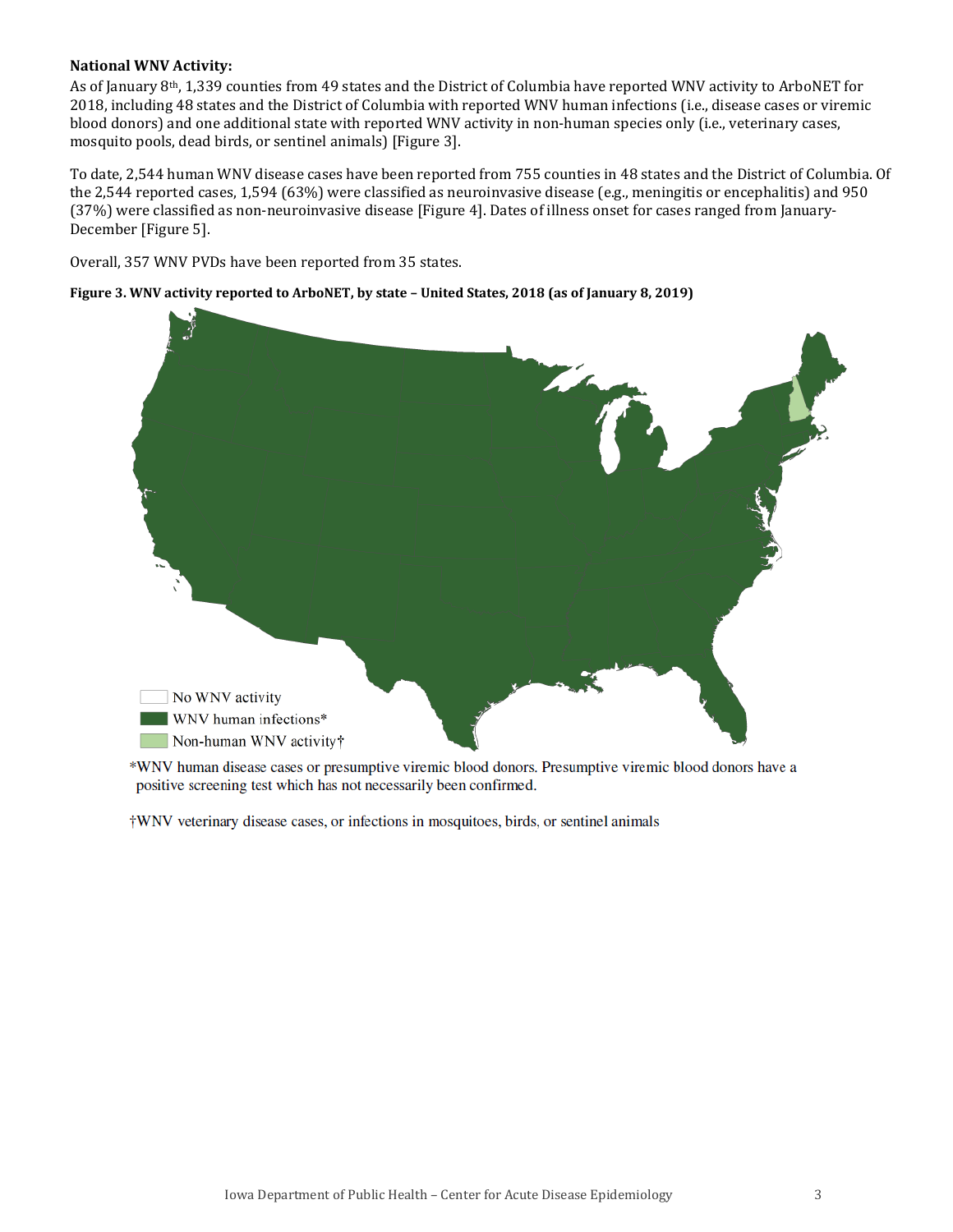### **National WNV Activity:**

As of January 8th, 1,339 counties from 49 states and the District of Columbia have reported WNV activity to ArboNET for 2018, including 48 states and the District of Columbia with reported WNV human infections (i.e., disease cases or viremic blood donors) and one additional state with reported WNV activity in non-human species only (i.e., veterinary cases, mosquito pools, dead birds, or sentinel animals) [Figure 3].

To date, 2,544 human WNV disease cases have been reported from 755 counties in 48 states and the District of Columbia. Of the 2,544 reported cases, 1,594 (63%) were classified as neuroinvasive disease (e.g., meningitis or encephalitis) and 950 (37%) were classified as non-neuroinvasive disease [Figure 4]. Dates of illness onset for cases ranged from January-December [Figure 5].

Overall, 357 WNV PVDs have been reported from 35 states.





\*WNV human disease cases or presumptive viremic blood donors. Presumptive viremic blood donors have a positive screening test which has not necessarily been confirmed.

†WNV veterinary disease cases, or infections in mosquitoes, birds, or sentinel animals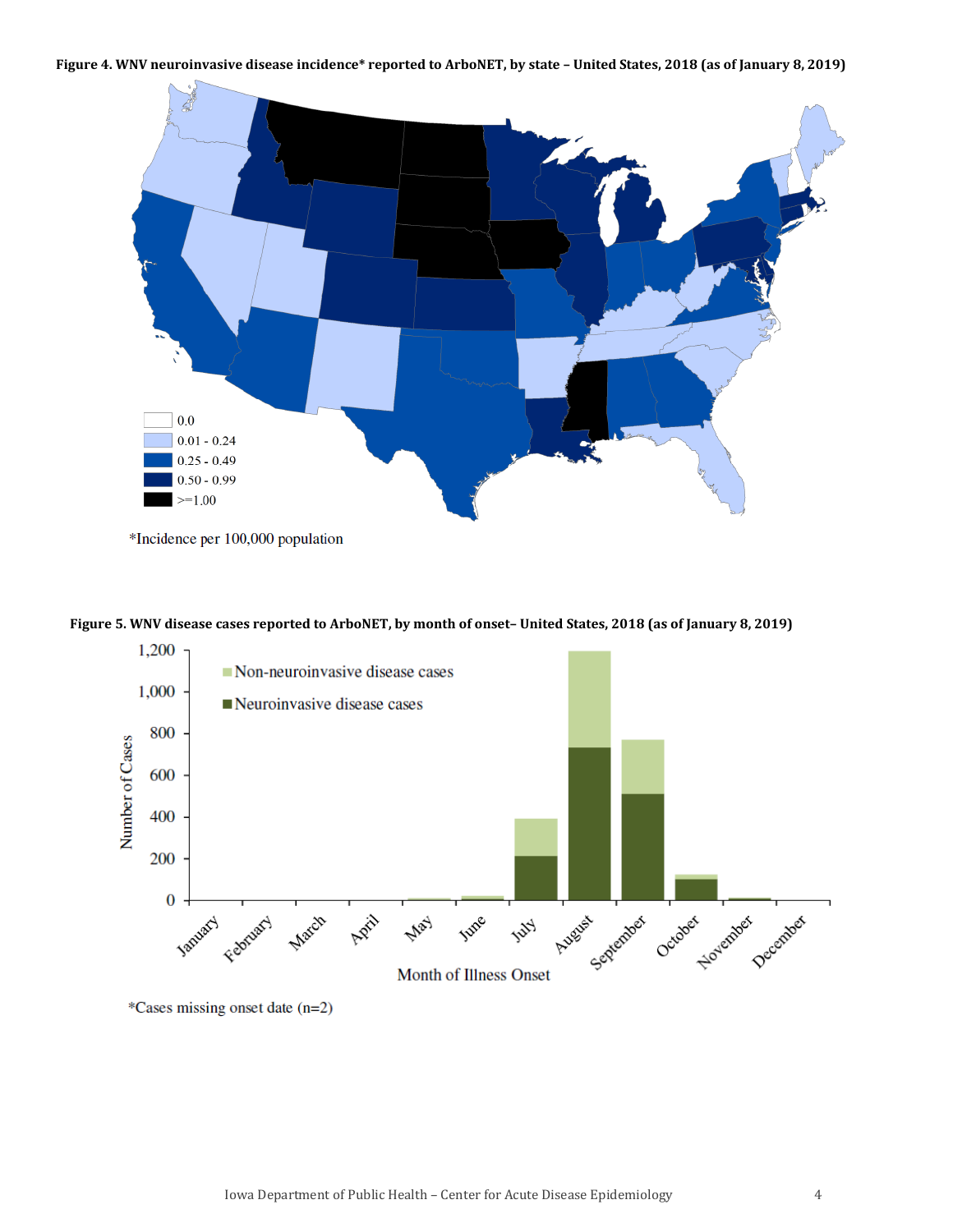#### **Figure 4. WNV neuroinvasive disease incidence\* reported to ArboNET, by state – United States, 2018 (as of January 8, 2019)**



<sup>\*</sup>Incidence per 100,000 population

**Figure 5. WNV disease cases reported to ArboNET, by month of onset– United States, 2018 (as of January 8, 2019)**



\*Cases missing onset date (n=2)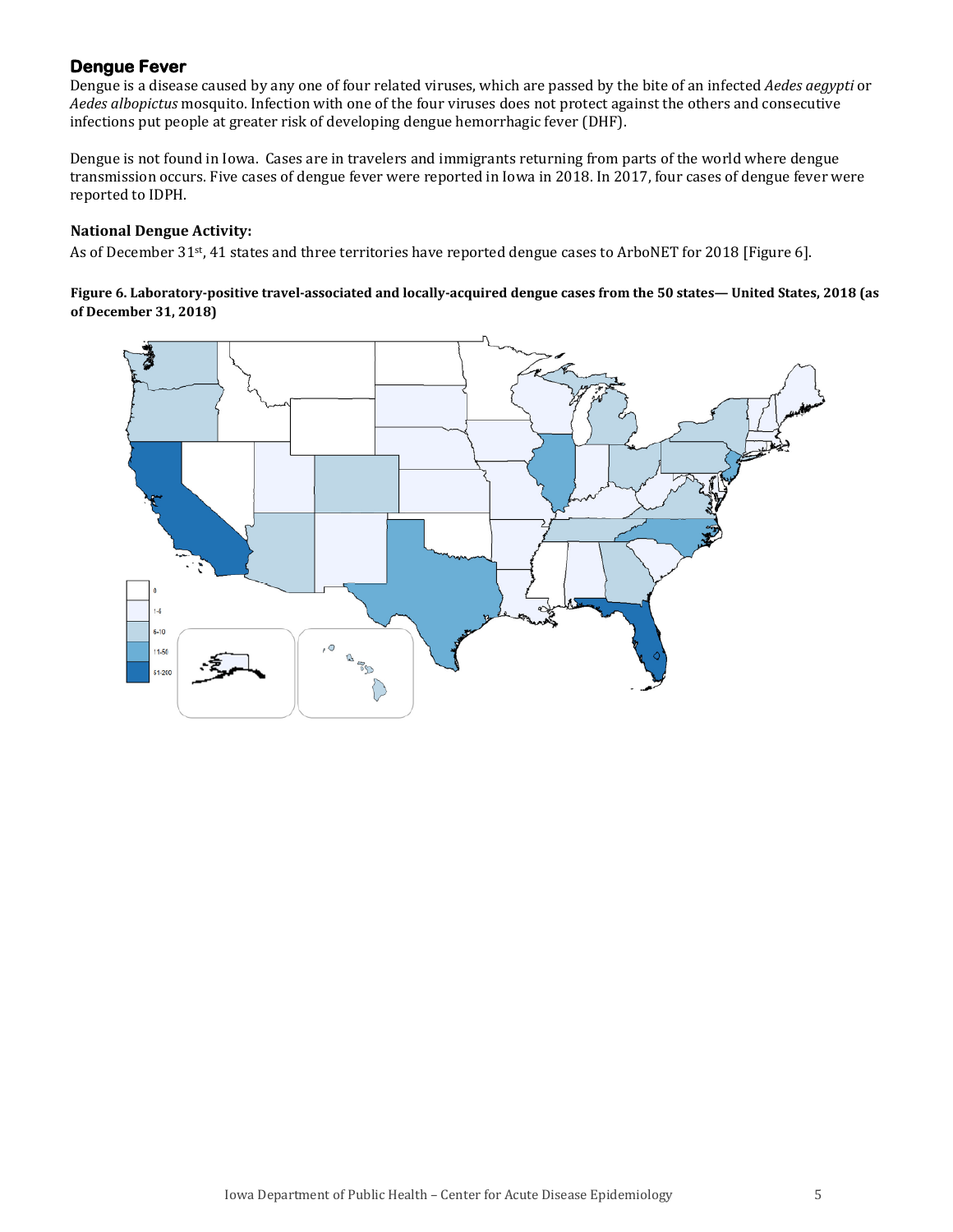# **Dengue Fever**

Dengue is a disease caused by any one of four related viruses, which are passed by the bite of an infected *Aedes aegypti* or *Aedes albopictus* mosquito. Infection with one of the four viruses does not protect against the others and consecutive infections put people at greater risk of developing dengue hemorrhagic fever (DHF).

Dengue is not found in Iowa. Cases are in travelers and immigrants returning from parts of the world where dengue transmission occurs. Five cases of dengue fever were reported in Iowa in 2018. In 2017, four cases of dengue fever were reported to IDPH.

## **National Dengue Activity:**

As of December 31<sup>st</sup>, 41 states and three territories have reported dengue cases to ArboNET for 2018 [Figure 6].

### **Figure 6. Laboratory-positive travel-associated and locally-acquired dengue cases from the 50 states— United States, 2018 (as of December 31, 2018)**

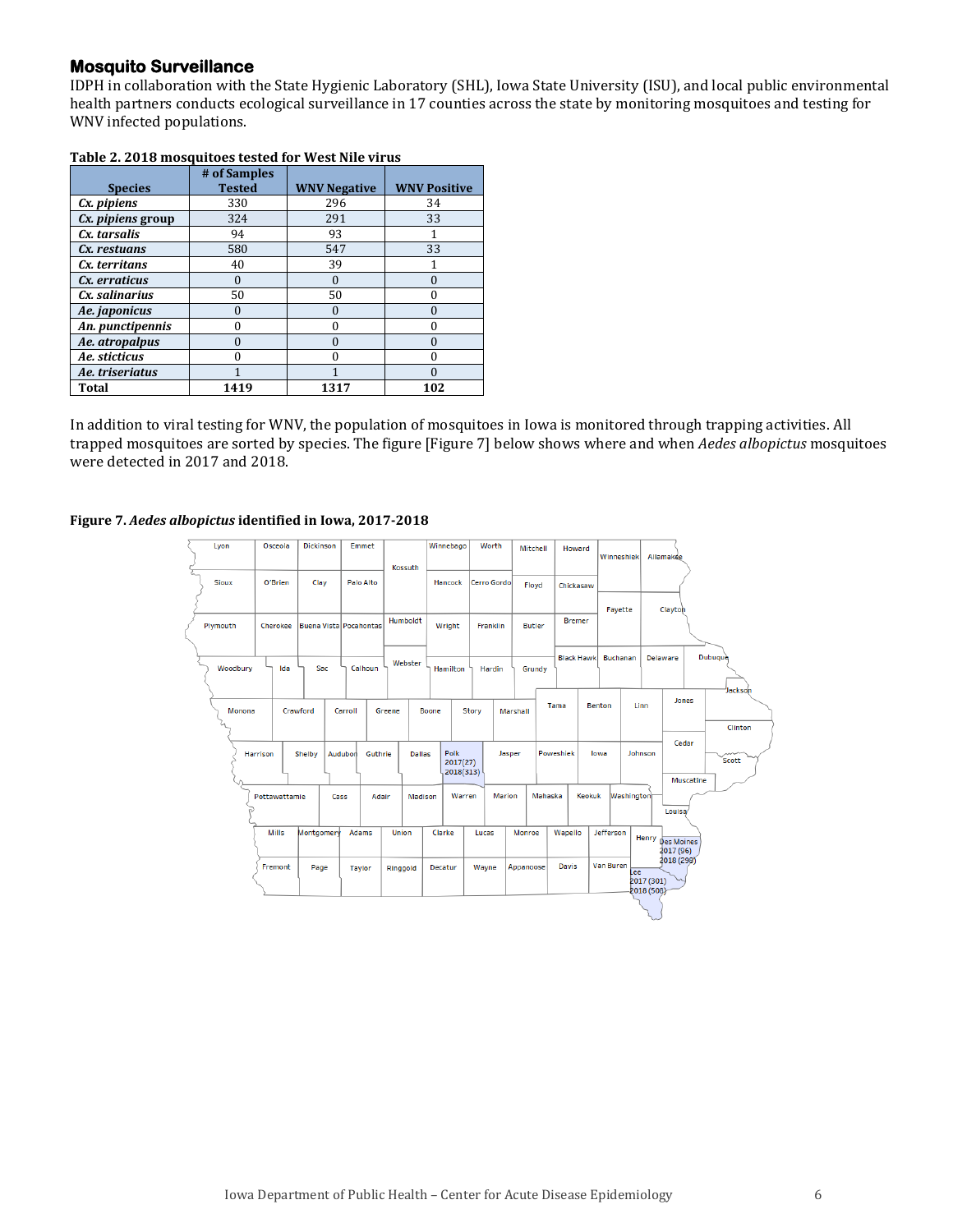## **Mosquito Surveillance**

IDPH in collaboration with the State Hygienic Laboratory (SHL), Iowa State University (ISU), and local public environmental health partners conducts ecological surveillance in 17 counties across the state by monitoring mosquitoes and testing for WNV infected populations.

|                   | # of Samples  |                     |                     |
|-------------------|---------------|---------------------|---------------------|
| <b>Species</b>    | <b>Tested</b> | <b>WNV Negative</b> | <b>WNV Positive</b> |
| Cx. pipiens       | 330           | 296                 | 34                  |
| Cx. pipiens group | 324           | 291                 | 33                  |
| Cx. tarsalis      | 94            | 93                  |                     |
| Cx. restuans      | 580           | 547                 | 33                  |
| Cx. territans     | 40            | 39                  |                     |
| Cx. erraticus     | $\Omega$      | $\Omega$            | 0                   |
| Cx. salinarius    | 50            | 50                  | 0                   |
| Ae. japonicus     | $\theta$      | 0                   | $\Omega$            |
| An. punctipennis  | 0             | 0                   | 0                   |
| Ae. atropalpus    | 0             | O                   | $\Omega$            |
| Ae. sticticus     | ∩             | U                   | 0                   |
| Ae. triseriatus   |               |                     | 0                   |
| Total             | 1419          | 1317                | 102                 |

### **Table 2. 2018 mosquitoes tested for West Nile virus**

In addition to viral testing for WNV, the population of mosquitoes in Iowa is monitored through trapping activities. All trapped mosquitoes are sorted by species. The figure [Figure 7] below shows where and when *Aedes albopictus* mosquitoes were detected in 2017 and 2018.

### **Figure 7.** *Aedes albopictus* **identified in Iowa, 2017-2018**